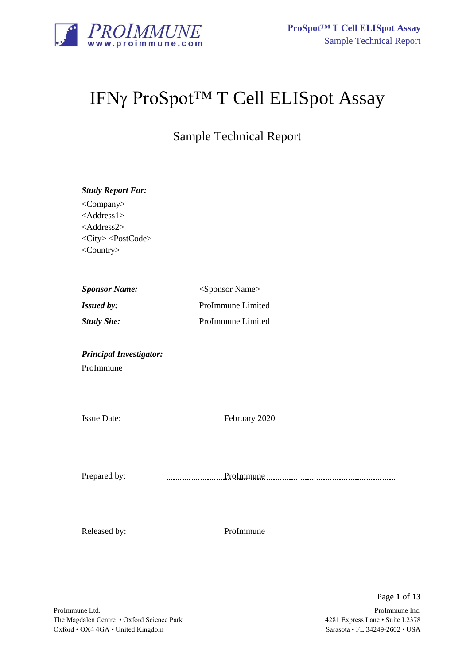

# IFNγ ProSpot<sup>™</sup> T Cell ELISpot Assay

Sample Technical Report

| <b>Study Report For:</b><br><company><br/><math>&lt;</math>Address1&gt;<br/><address2><br/><city><postcode><br/><country></country></postcode></city></address2></company> |                             |
|----------------------------------------------------------------------------------------------------------------------------------------------------------------------------|-----------------------------|
| <b>Sponsor Name:</b>                                                                                                                                                       | <sponsor name=""></sponsor> |
| Issued by:                                                                                                                                                                 | ProImmune Limited           |
| <b>Study Site:</b>                                                                                                                                                         | ProImmune Limited           |
| <b>Principal Investigator:</b><br>ProImmune                                                                                                                                |                             |
| <b>Issue Date:</b>                                                                                                                                                         | February 2020               |
|                                                                                                                                                                            |                             |
| Prepared by:                                                                                                                                                               | ProImmune                   |
| Released by:                                                                                                                                                               | ProImmune<br>.              |

Page **1** of **13**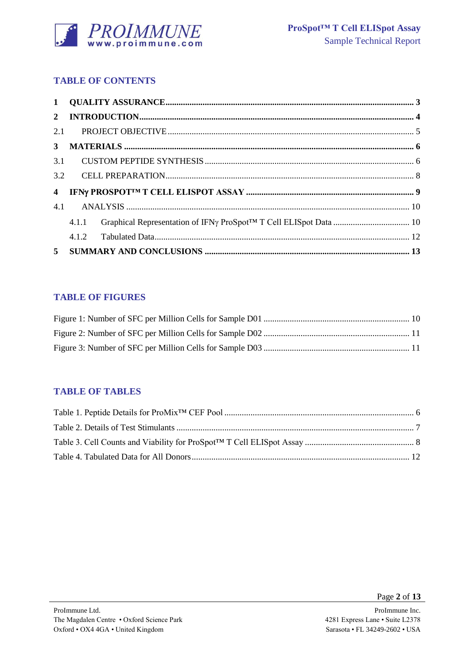

# **TABLE OF CONTENTS**

| $\overline{\mathbf{4}}$ |       |  |
|-------------------------|-------|--|
| 4.1                     |       |  |
|                         | 4.1.1 |  |
|                         |       |  |
|                         |       |  |

# **TABLE OF FIGURES**

## **TABLE OF TABLES**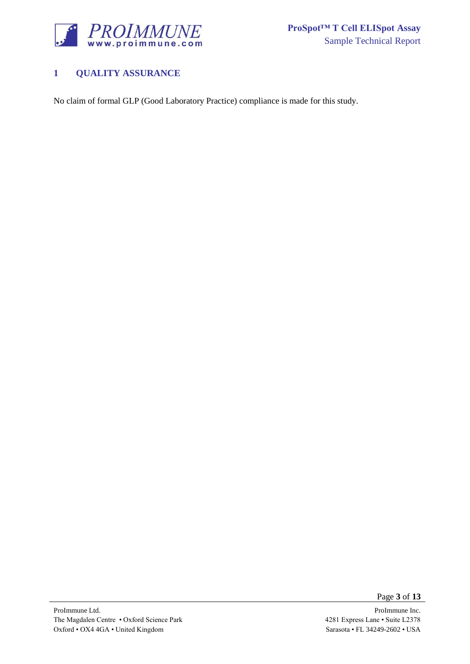

# <span id="page-2-0"></span>**1 QUALITY ASSURANCE**

No claim of formal GLP (Good Laboratory Practice) compliance is made for this study.

Page **3** of **13**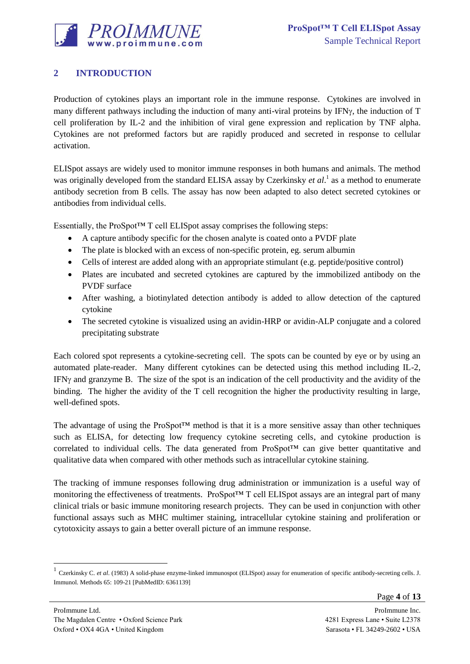

# <span id="page-3-0"></span>**2 INTRODUCTION**

Production of cytokines plays an important role in the immune response. Cytokines are involved in many different pathways including the induction of many anti-viral proteins by IFN $\gamma$ , the induction of T cell proliferation by IL-2 and the inhibition of viral gene expression and replication by TNF alpha. Cytokines are not preformed factors but are rapidly produced and secreted in response to cellular activation.

ELISpot assays are widely used to monitor immune responses in both humans and animals. The method was originally developed from the standard ELISA assay by Czerkinsky *et al*. 1 as a method to enumerate antibody secretion from B cells. The assay has now been adapted to also detect secreted cytokines or antibodies from individual cells.

Essentially, the ProSpot<sup>TM</sup> T cell ELISpot assay comprises the following steps:

- A capture antibody specific for the chosen analyte is coated onto a PVDF plate
- The plate is blocked with an excess of non-specific protein, eg. serum albumin
- Cells of interest are added along with an appropriate stimulant (e.g. peptide/positive control)
- Plates are incubated and secreted cytokines are captured by the immobilized antibody on the PVDF surface
- After washing, a biotinylated detection antibody is added to allow detection of the captured cytokine
- The secreted cytokine is visualized using an avidin-HRP or avidin-ALP conjugate and a colored precipitating substrate

Each colored spot represents a cytokine-secreting cell. The spots can be counted by eye or by using an automated plate-reader. Many different cytokines can be detected using this method including IL-2, IFN $\gamma$  and granzyme B. The size of the spot is an indication of the cell productivity and the avidity of the binding. The higher the avidity of the T cell recognition the higher the productivity resulting in large, well-defined spots.

The advantage of using the ProSpot™ method is that it is a more sensitive assay than other techniques such as ELISA, for detecting low frequency cytokine secreting cells, and cytokine production is correlated to individual cells. The data generated from ProSpot™ can give better quantitative and qualitative data when compared with other methods such as intracellular cytokine staining.

The tracking of immune responses following drug administration or immunization is a useful way of monitoring the effectiveness of treatments. ProSpot™ T cell ELISpot assays are an integral part of many clinical trials or basic immune monitoring research projects. They can be used in conjunction with other functional assays such as MHC multimer staining, intracellular cytokine staining and proliferation or cytotoxicity assays to gain a better overall picture of an immune response.

l

<sup>1</sup> Czerkinsky C. *et al*. (1983) A solid-phase enzyme-linked immunospot (ELISpot) assay for enumeration of specific antibody-secreting cells. J. Immunol. Methods 65: 109-21 [PubMedID: 6361139]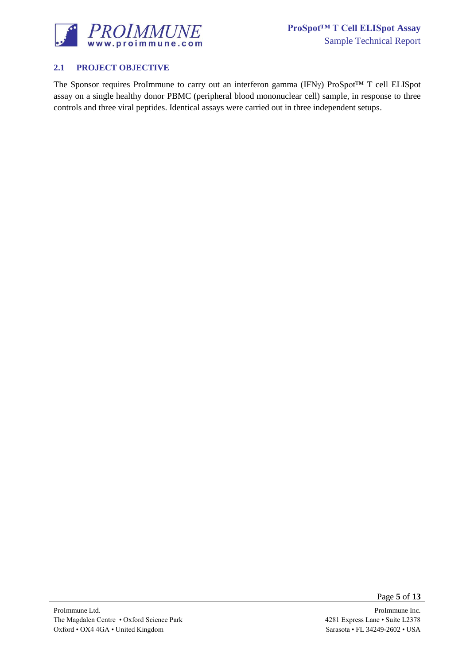

## <span id="page-4-0"></span>**2.1 PROJECT OBJECTIVE**

The Sponsor requires ProImmune to carry out an interferon gamma (IFNy) ProSpot™ T cell ELISpot assay on a single healthy donor PBMC (peripheral blood mononuclear cell) sample, in response to three controls and three viral peptides. Identical assays were carried out in three independent setups.

Page **5** of **13**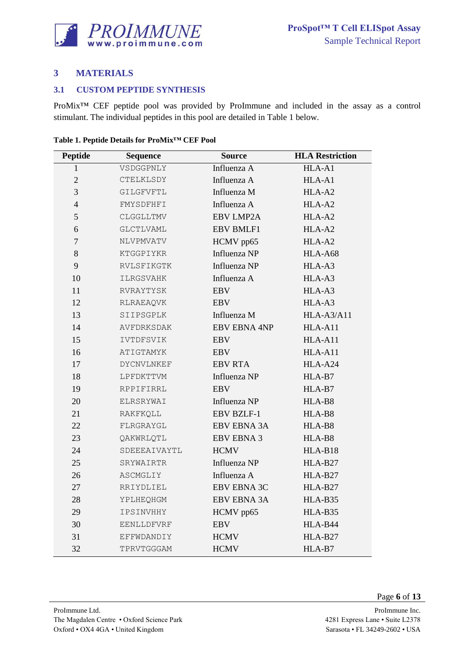

## <span id="page-5-0"></span>**MATERIALS**

#### <span id="page-5-1"></span>**3.1 CUSTOM PEPTIDE SYNTHESIS**

ProMix™ CEF peptide pool was provided by ProImmune and included in the assay as a control stimulant. The individual peptides in this pool are detailed in [Table 1](#page-5-2) below.

| <b>Peptide</b> | <b>Source</b><br><b>Sequence</b> |                     | <b>HLA Restriction</b> |
|----------------|----------------------------------|---------------------|------------------------|
| 1              | VSDGGPNLY                        | Influenza A         | HLA-A1                 |
| $\overline{c}$ | CTELKLSDY                        | Influenza A         | HLA-A1                 |
| 3              | GILGFVFTL                        | Influenza M         | HLA-A2                 |
| $\overline{4}$ | FMYSDFHFI                        | Influenza A         | HLA-A2                 |
| 5              | CLGGLLTMV                        | <b>EBV LMP2A</b>    | HLA-A2                 |
| 6              | <b>GLCTLVAML</b>                 | <b>EBV BMLF1</b>    | HLA-A2                 |
| $\overline{7}$ | NLVPMVATV                        | HCMV pp65           | HLA-A2                 |
| 8              | KTGGPIYKR                        | Influenza NP        | HLA-A68                |
| 9              | RVLSFIKGTK                       | Influenza NP        | HLA-A3                 |
| 10             | <b>ILRGSVAHK</b>                 | Influenza A         | HLA-A3                 |
| 11             | RVRAYTYSK                        | <b>EBV</b>          | HLA-A3                 |
| 12             | RLRAEAQVK                        | <b>EBV</b>          | HLA-A3                 |
| 13             | SIIPSGPLK                        | Influenza M         | HLA-A3/A11             |
| 14             | AVFDRKSDAK                       | <b>EBV EBNA 4NP</b> | HLA-A11                |
| 15             | IVTDFSVIK                        | <b>EBV</b>          | HLA-A11                |
| 16             | ATIGTAMYK                        | <b>EBV</b>          | HLA-A11                |
| 17             | <b>DYCNVLNKEF</b>                | <b>EBV RTA</b>      | HLA-A24                |
| 18             | LPFDKTTVM                        | Influenza NP        | HLA-B7                 |
| 19             | RPPIFIRRL                        | <b>EBV</b>          | HLA-B7                 |
| 20             | ELRSRYWAI                        | Influenza NP        | HLA-B8                 |
| 21             | RAKFKQLL                         | <b>EBV BZLF-1</b>   | HLA-B8                 |
| 22             | FLRGRAYGL                        | <b>EBV EBNA 3A</b>  | HLA-B8                 |
| 23             | QAKWRLQTL                        | <b>EBV EBNA 3</b>   | HLA-B8                 |
| 24             | SDEEEAIVAYTL                     | <b>HCMV</b>         | HLA-B18                |
| 25             | SRYWAIRTR                        | Influenza NP        | HLA-B27                |
| 26             | ASCMGLIY                         | Influenza A         | HLA-B27                |
| 27             | RRIYDLIEL                        | <b>EBV EBNA 3C</b>  | HLA-B27                |
| 28             | YPLHEQHGM                        | <b>EBV EBNA 3A</b>  | HLA-B35                |
| 29             | IPSINVHHY                        | HCMV pp65           | HLA-B35                |
| 30             | EENLLDFVRF                       | <b>EBV</b>          | HLA-B44                |
| 31             | EFFWDANDIY                       | <b>HCMV</b>         | HLA-B27                |
| 32             | TPRVTGGGAM                       | <b>HCMV</b>         | HLA-B7                 |

<span id="page-5-2"></span>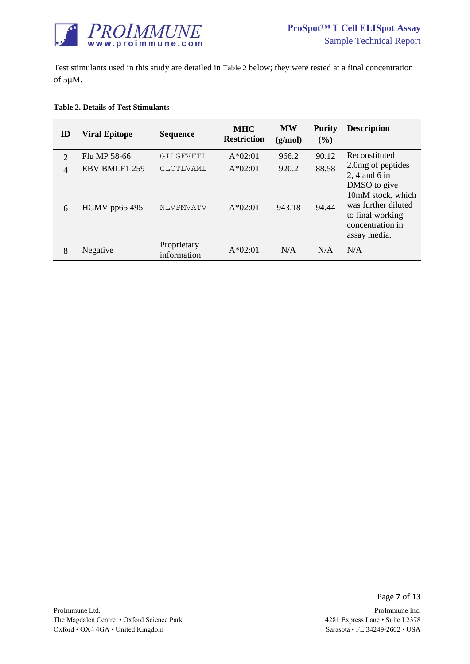

Test stimulants used in this study are detailed in [Table 2](#page-6-0) below; they were tested at a final concentration of  $5 \mu M$ .

#### <span id="page-6-0"></span>**Table 2. Details of Test Stimulants**

| ID                  | <b>Viral Epitope</b>           | <b>Sequence</b>            | <b>MHC</b><br><b>Restriction</b> | <b>MW</b><br>(g/mol) | <b>Purity</b><br>$($ %) | <b>Description</b>                                                                              |
|---------------------|--------------------------------|----------------------------|----------------------------------|----------------------|-------------------------|-------------------------------------------------------------------------------------------------|
| $\overline{2}$      | Flu MP 58-66                   | GILGFVFTL                  | $A*02:01$                        | 966.2                | 90.12                   | Reconstituted                                                                                   |
| $\overline{4}$<br>6 | EBV BMLF1 259<br>HCMV pp65 495 | GLCTLVAML<br>NLVPMVATV     | $A*02:01$<br>$A*02:01$           | 920.2<br>943.18      | 88.58<br>94.44          | 2.0 mg of peptides<br>2, 4 and 6 in<br>DMSO to give<br>10mM stock, which<br>was further diluted |
| 8                   | Negative                       | Proprietary<br>information | $A*02:01$                        | N/A                  | N/A                     | to final working<br>concentration in<br>assay media.<br>N/A                                     |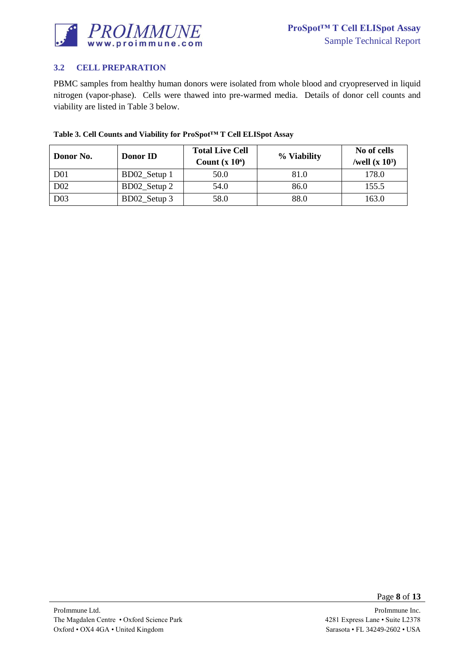

## <span id="page-7-0"></span>**3.2 CELL PREPARATION**

PBMC samples from healthy human donors were isolated from whole blood and cryopreserved in liquid nitrogen (vapor-phase). Cells were thawed into pre-warmed media. Details of donor cell counts and viability are listed in [Table 3](#page-7-1) below.

| Donor No.        | Donor ID     | <b>Total Live Cell</b><br>Count $(x 10^6)$ | % Viability | No of cells<br>/well $(x 10^3)$ |
|------------------|--------------|--------------------------------------------|-------------|---------------------------------|
| D <sub>01</sub>  | BD02_Setup 1 | 50.0                                       | 81.0        | 178.0                           |
| D <sub>0</sub> 2 | BD02_Setup 2 | 54.0                                       | 86.0        | 155.5                           |
| D <sub>03</sub>  | BD02_Setup 3 | 58.0                                       | 88.0        | 163.0                           |

#### <span id="page-7-1"></span>**Table 3. Cell Counts and Viability for ProSpot™ T Cell ELISpot Assay**

Page **8** of **13**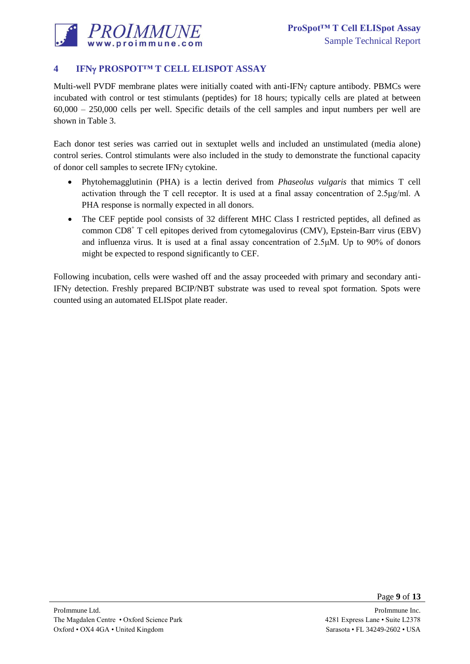

# <span id="page-8-0"></span>**4 IFN PROSPOT™ T CELL ELISPOT ASSAY**

Multi-well PVDF membrane plates were initially coated with anti-IFN<sub>Y</sub> capture antibody. PBMCs were incubated with control or test stimulants (peptides) for 18 hours; typically cells are plated at between 60,000 – 250,000 cells per well. Specific details of the cell samples and input numbers per well are shown in [Table 3.](#page-7-1)

Each donor test series was carried out in sextuplet wells and included an unstimulated (media alone) control series. Control stimulants were also included in the study to demonstrate the functional capacity of donor cell samples to secrete IFN $\gamma$  cytokine.

- Phytohemagglutinin (PHA) is a lectin derived from *Phaseolus vulgaris* that mimics T cell activation through the T cell receptor. It is used at a final assay concentration of 2.5μg/ml. A PHA response is normally expected in all donors.
- The CEF peptide pool consists of 32 different MHC Class I restricted peptides, all defined as common CD8<sup>+</sup> T cell epitopes derived from cytomegalovirus (CMV), Epstein-Barr virus (EBV) and influenza virus. It is used at a final assay concentration of 2.5μM. Up to 90% of donors might be expected to respond significantly to CEF.

Following incubation, cells were washed off and the assay proceeded with primary and secondary anti-IFNy detection. Freshly prepared BCIP/NBT substrate was used to reveal spot formation. Spots were counted using an automated ELISpot plate reader.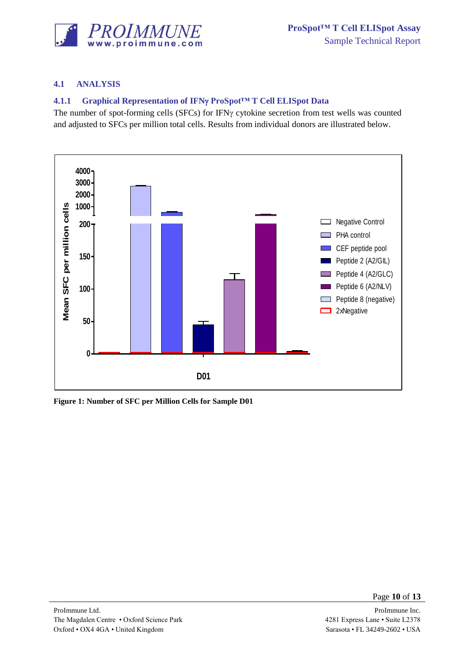

## <span id="page-9-0"></span>**4.1 ANALYSIS**

## <span id="page-9-1"></span>**4.1.1 Graphical Representation of IFNy ProSpot™T Cell ELISpot Data**

The number of spot-forming cells (SFCs) for IFN $\gamma$  cytokine secretion from test wells was counted and adjusted to SFCs per million total cells. Results from individual donors are illustrated below.



<span id="page-9-2"></span>**Figure 1: Number of SFC per Million Cells for Sample D01**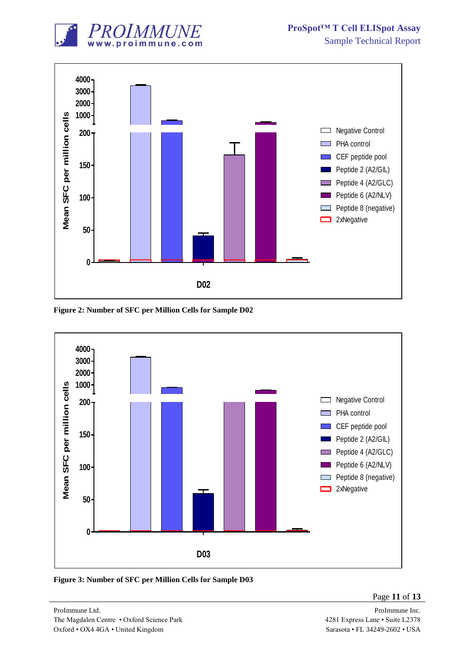



<span id="page-10-0"></span>**Figure 2: Number of SFC per Million Cells for Sample D02**



<span id="page-10-1"></span>**Figure 3: Number of SFC per Million Cells for Sample D03**

Page **11** of **13**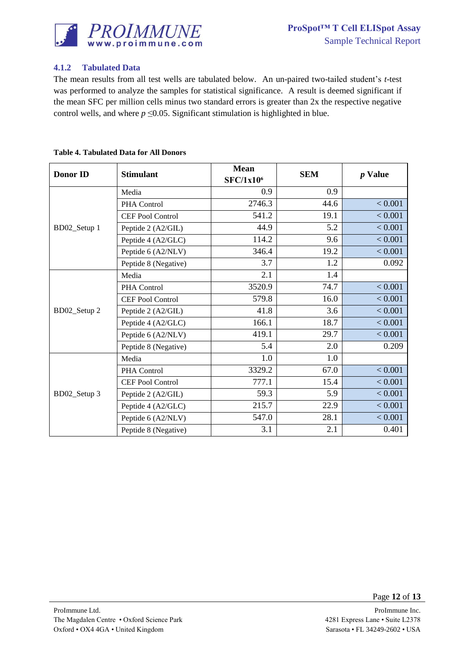

## <span id="page-11-0"></span>**4.1.2 Tabulated Data**

The mean results from all test wells are tabulated below. An un-paired two-tailed student's *t*-test was performed to analyze the samples for statistical significance. A result is deemed significant if the mean SFC per million cells minus two standard errors is greater than 2x the respective negative control wells, and where  $p \le 0.05$ . Significant stimulation is highlighted in blue.

| <b>Donor ID</b> | <b>Stimulant</b>        | <b>Mean</b><br><b>SFC/1x10<sup>6</sup></b> | <b>SEM</b> | $p$ Value |
|-----------------|-------------------------|--------------------------------------------|------------|-----------|
|                 | Media                   | 0.9                                        | 0.9        |           |
|                 | PHA Control             | 2746.3                                     | 44.6       | < 0.001   |
|                 | CEF Pool Control        | 541.2                                      | 19.1       | < 0.001   |
| BD02_Setup 1    | Peptide 2 (A2/GIL)      | 44.9                                       | 5.2        | < 0.001   |
|                 | Peptide 4 (A2/GLC)      | 114.2                                      | 9.6        | < 0.001   |
|                 | Peptide 6 (A2/NLV)      | 346.4                                      | 19.2       | < 0.001   |
|                 | Peptide 8 (Negative)    | 3.7                                        | 1.2        | 0.092     |
|                 | Media                   | 2.1                                        | 1.4        |           |
|                 | PHA Control             | 3520.9                                     | 74.7       | < 0.001   |
|                 | <b>CEF Pool Control</b> | 579.8                                      | 16.0       | < 0.001   |
| BD02_Setup 2    | Peptide 2 (A2/GIL)      | 41.8                                       | 3.6        | < 0.001   |
|                 | Peptide 4 (A2/GLC)      | 166.1                                      | 18.7       | < 0.001   |
|                 | Peptide 6 (A2/NLV)      | 419.1                                      | 29.7       | < 0.001   |
|                 | Peptide 8 (Negative)    | 5.4                                        | 2.0        | 0.209     |
| BD02_Setup 3    | Media                   | 1.0                                        | 1.0        |           |
|                 | PHA Control             | 3329.2                                     | 67.0       | < 0.001   |
|                 | <b>CEF Pool Control</b> | 777.1                                      | 15.4       | < 0.001   |
|                 | Peptide 2 (A2/GIL)      | 59.3                                       | 5.9        | < 0.001   |
|                 | Peptide 4 (A2/GLC)      | 215.7                                      | 22.9       | < 0.001   |
|                 | Peptide 6 (A2/NLV)      | 547.0                                      | 28.1       | < 0.001   |
|                 | Peptide 8 (Negative)    | 3.1                                        | 2.1        | 0.401     |

#### <span id="page-11-1"></span>**Table 4. Tabulated Data for All Donors**